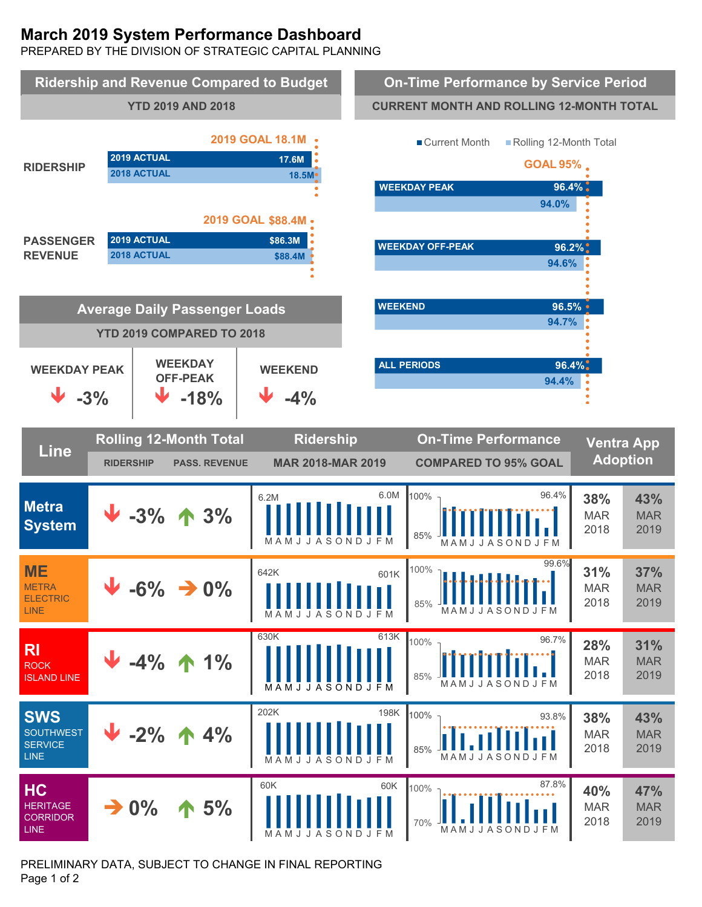# **March 2019 System Performance Dashboard**

PREPARED BY THE DIVISION OF STRATEGIC CAPITAL PLANNING



PRELIMINARY DATA, SUBJECT TO CHANGE IN FINAL REPORTING Page 1 of 2